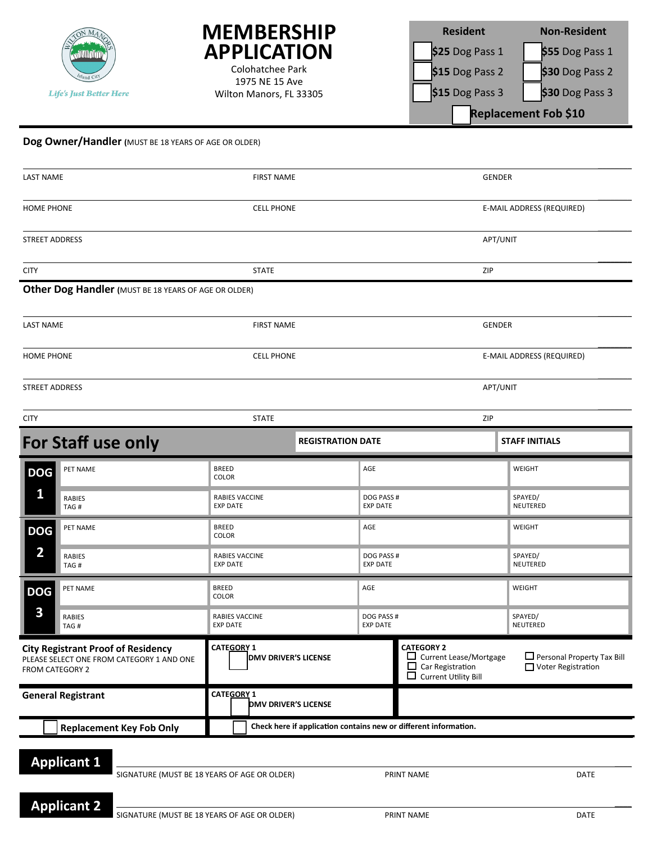



1975 NE 15 Ave Wilton Manors, FL 33305

| <b>Resident</b>      | <b>Non-Resident</b> |  |  |  |
|----------------------|---------------------|--|--|--|
| \$25 Dog Pass 1      | \$55 Dog Pass 1     |  |  |  |
| \$15 Dog Pass 2      | \$30 Dog Pass 2     |  |  |  |
| \$15 Dog Pass 3      | \$30 Dog Pass 3     |  |  |  |
| Replacement Fob \$10 |                     |  |  |  |

## **Dog Owner/Handler (**MUST BE 18 YEARS OF AGE OR OLDER)

| <b>LAST NAME</b>                                                                                          | <b>FIRST NAME</b>                                |                                                                  | <b>GENDER</b>                                                                                                      |                                                           |  |
|-----------------------------------------------------------------------------------------------------------|--------------------------------------------------|------------------------------------------------------------------|--------------------------------------------------------------------------------------------------------------------|-----------------------------------------------------------|--|
| <b>HOME PHONE</b>                                                                                         | <b>CELL PHONE</b>                                |                                                                  |                                                                                                                    | E-MAIL ADDRESS (REQUIRED)                                 |  |
| STREET ADDRESS                                                                                            |                                                  |                                                                  | APT/UNIT                                                                                                           |                                                           |  |
| <b>CITY</b>                                                                                               | <b>STATE</b>                                     |                                                                  | ZIP                                                                                                                |                                                           |  |
| Other Dog Handler (MUST BE 18 YEARS OF AGE OR OLDER)                                                      |                                                  |                                                                  |                                                                                                                    |                                                           |  |
| <b>LAST NAME</b>                                                                                          | <b>FIRST NAME</b>                                |                                                                  | <b>GENDER</b>                                                                                                      |                                                           |  |
| <b>HOME PHONE</b>                                                                                         | <b>CELL PHONE</b>                                |                                                                  |                                                                                                                    | E-MAIL ADDRESS (REQUIRED)                                 |  |
| <b>STREET ADDRESS</b>                                                                                     |                                                  |                                                                  | APT/UNIT                                                                                                           |                                                           |  |
| <b>CITY</b>                                                                                               | <b>STATE</b>                                     |                                                                  | ZIP                                                                                                                |                                                           |  |
| For Staff use only                                                                                        |                                                  | <b>REGISTRATION DATE</b>                                         |                                                                                                                    | <b>STAFF INITIALS</b>                                     |  |
| PET NAME<br><b>DOG</b>                                                                                    | <b>BREED</b><br><b>COLOR</b>                     | AGE                                                              |                                                                                                                    | WEIGHT                                                    |  |
| 1<br><b>RABIES</b><br>TAG#                                                                                | <b>RABIES VACCINE</b><br><b>EXP DATE</b>         | DOG PASS #<br><b>EXP DATE</b>                                    |                                                                                                                    | SPAYED/<br>NEUTERED                                       |  |
| PET NAME<br><b>DOG</b>                                                                                    | <b>BREED</b><br>COLOR                            | AGE                                                              |                                                                                                                    | WEIGHT                                                    |  |
| $\overline{\mathbf{2}}$<br><b>RABIES</b><br>TAG#                                                          | RABIES VACCINE<br><b>EXP DATE</b>                | DOG PASS #<br><b>EXP DATE</b>                                    |                                                                                                                    | SPAYED/<br>NEUTERED                                       |  |
| PET NAME<br><b>DOG</b>                                                                                    | <b>BREED</b><br>COLOR                            | AGE                                                              |                                                                                                                    | WEIGHT                                                    |  |
| 3<br><b>RABIES</b><br>TAG#                                                                                | RABIES VACCINE<br><b>EXP DATE</b>                | DOG PASS #<br><b>EXP DATE</b>                                    |                                                                                                                    | SPAYED/<br>NEUTERED                                       |  |
| <b>City Registrant Proof of Residency</b><br>PLEASE SELECT ONE FROM CATEGORY 1 AND ONE<br>FROM CATEGORY 2 | <b>CATEGORY 1</b><br><b>DMV DRIVER'S LICENSE</b> |                                                                  | <b>CATEGORY 2</b><br>Current Lease/Mortgage<br>Car Registration<br>$\Box$<br>$\Box$<br><b>Current Utility Bill</b> | $\Box$ Personal Property Tax Bill<br>□ Voter Registration |  |
| <b>General Registrant</b>                                                                                 | CATEGORY 1                                       | <b>DMV DRIVER'S LICENSE</b>                                      |                                                                                                                    |                                                           |  |
| <b>Replacement Key Fob Only</b>                                                                           |                                                  | Check here if application contains new or different information. |                                                                                                                    |                                                           |  |
| <b>Applicant 1</b><br>SIGNATURE (MUST BE 18 YEARS OF AGE OR OLDER)<br>PRINT NAME<br>DATE                  |                                                  |                                                                  |                                                                                                                    |                                                           |  |

\_\_\_\_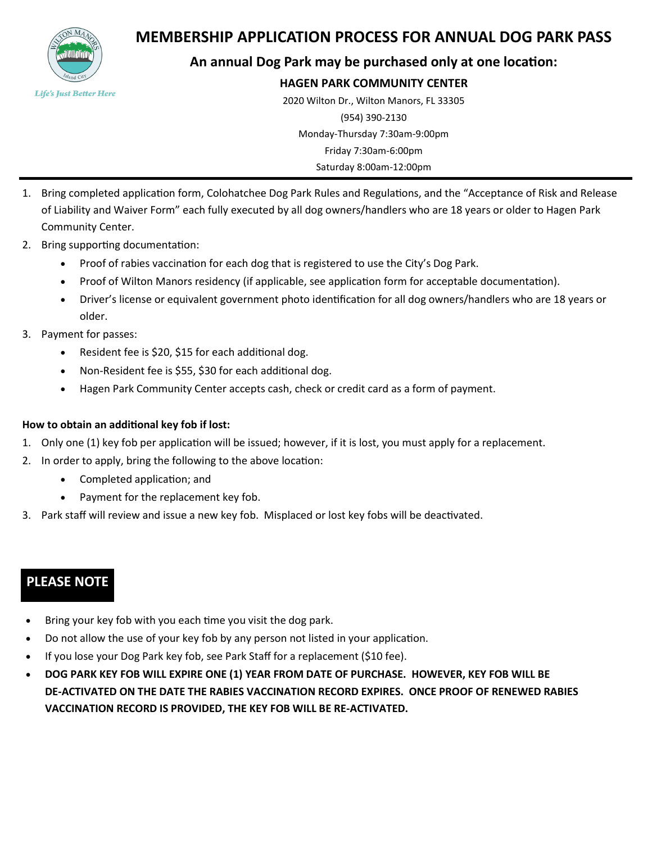

## **MEMBERSHIP APPLICATION PROCESS FOR ANNUAL DOG PARK PASS**

## **An annual Dog Park may be purchased only at one location:**

## **HAGEN PARK COMMUNITY CENTER**

2020 Wilton Dr., Wilton Manors, FL 33305 (954) 390-2130 Monday-Thursday 7:30am-9:00pm Friday 7:30am-6:00pm Saturday 8:00am-12:00pm

- 1. Bring completed application form, Colohatchee Dog Park Rules and Regulations, and the "Acceptance of Risk and Release of Liability and Waiver Form" each fully executed by all dog owners/handlers who are 18 years or older to Hagen Park Community Center.
- 2. Bring supporting documentation:
	- Proof of rabies vaccination for each dog that is registered to use the City's Dog Park.
	- Proof of Wilton Manors residency (if applicable, see application form for acceptable documentation).
	- Driver's license or equivalent government photo identification for all dog owners/handlers who are 18 years or older.
- 3. Payment for passes:
	- Resident fee is \$20, \$15 for each additional dog.
	- Non-Resident fee is \$55, \$30 for each additional dog.
	- Hagen Park Community Center accepts cash, check or credit card as a form of payment.

## **How to obtain an additional key fob if lost:**

- 1. Only one (1) key fob per application will be issued; however, if it is lost, you must apply for a replacement.
- 2. In order to apply, bring the following to the above location:
	- Completed application; and
	- Payment for the replacement key fob.
- 3. Park staff will review and issue a new key fob. Misplaced or lost key fobs will be deactivated.

## **PLEASE NOTE**

- Bring your key fob with you each time you visit the dog park.
- Do not allow the use of your key fob by any person not listed in your application.
- If you lose your Dog Park key fob, see Park Staff for a replacement (\$10 fee).
- **DOG PARK KEY FOB WILL EXPIRE ONE (1) YEAR FROM DATE OF PURCHASE. HOWEVER, KEY FOB WILL BE DE-ACTIVATED ON THE DATE THE RABIES VACCINATION RECORD EXPIRES. ONCE PROOF OF RENEWED RABIES VACCINATION RECORD IS PROVIDED, THE KEY FOB WILL BE RE-ACTIVATED.**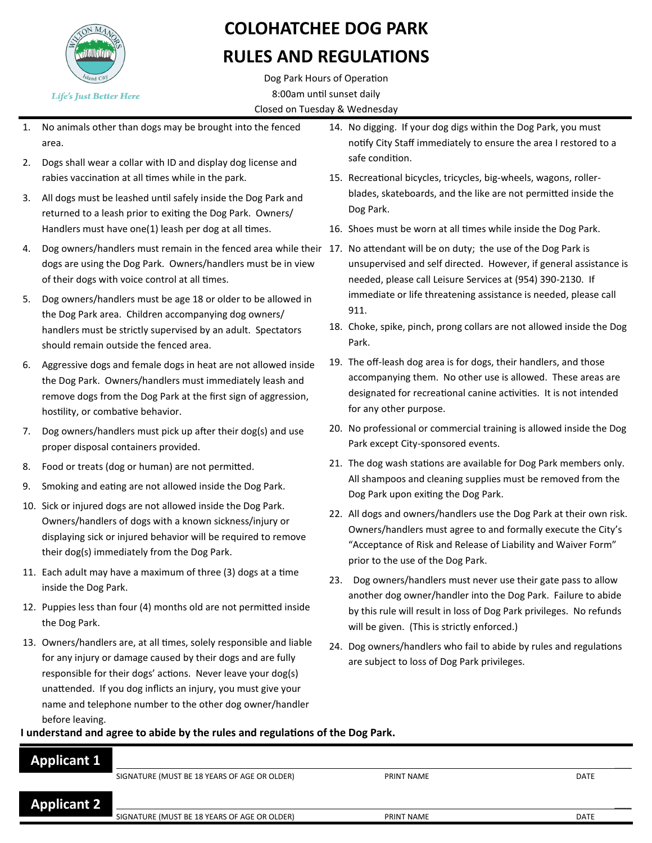

## **COLOHATCHEE DOG PARK**

## **RULES AND REGULATIONS**

Dog Park Hours of Operation 8:00am until sunset daily Closed on Tuesday & Wednesday

- 1. No animals other than dogs may be brought into the fenced area.
- 2. Dogs shall wear a collar with ID and display dog license and rabies vaccination at all times while in the park.
- 3. All dogs must be leashed until safely inside the Dog Park and returned to a leash prior to exiting the Dog Park. Owners/ Handlers must have one(1) leash per dog at all times.
- 4. Dog owners/handlers must remain in the fenced area while their 17. No attendant will be on duty; the use of the Dog Park is dogs are using the Dog Park. Owners/handlers must be in view of their dogs with voice control at all times.
- 5. Dog owners/handlers must be age 18 or older to be allowed in the Dog Park area. Children accompanying dog owners/ handlers must be strictly supervised by an adult. Spectators should remain outside the fenced area.
- 6. Aggressive dogs and female dogs in heat are not allowed inside the Dog Park. Owners/handlers must immediately leash and remove dogs from the Dog Park at the first sign of aggression, hostility, or combative behavior.
- 7. Dog owners/handlers must pick up after their dog(s) and use proper disposal containers provided.
- 8. Food or treats (dog or human) are not permitted.
- 9. Smoking and eating are not allowed inside the Dog Park.
- 10. Sick or injured dogs are not allowed inside the Dog Park. Owners/handlers of dogs with a known sickness/injury or displaying sick or injured behavior will be required to remove their dog(s) immediately from the Dog Park.
- 11. Each adult may have a maximum of three (3) dogs at a time inside the Dog Park.
- 12. Puppies less than four (4) months old are not permitted inside the Dog Park.
- 13. Owners/handlers are, at all times, solely responsible and liable for any injury or damage caused by their dogs and are fully responsible for their dogs' actions. Never leave your dog(s) unattended. If you dog inflicts an injury, you must give your name and telephone number to the other dog owner/handler before leaving.
- 14. No digging. If your dog digs within the Dog Park, you must notify City Staff immediately to ensure the area I restored to a safe condition.
- 15. Recreational bicycles, tricycles, big-wheels, wagons, rollerblades, skateboards, and the like are not permitted inside the Dog Park.
- 16. Shoes must be worn at all times while inside the Dog Park.
- unsupervised and self directed. However, if general assistance is needed, please call Leisure Services at (954) 390-2130. If immediate or life threatening assistance is needed, please call 911.
- 18. Choke, spike, pinch, prong collars are not allowed inside the Dog Park.
- 19. The off-leash dog area is for dogs, their handlers, and those accompanying them. No other use is allowed. These areas are designated for recreational canine activities. It is not intended for any other purpose.
- 20. No professional or commercial training is allowed inside the Dog Park except City-sponsored events.
- 21. The dog wash stations are available for Dog Park members only. All shampoos and cleaning supplies must be removed from the Dog Park upon exiting the Dog Park.
- 22. All dogs and owners/handlers use the Dog Park at their own risk. Owners/handlers must agree to and formally execute the City's "Acceptance of Risk and Release of Liability and Waiver Form" prior to the use of the Dog Park.
- 23. Dog owners/handlers must never use their gate pass to allow another dog owner/handler into the Dog Park. Failure to abide by this rule will result in loss of Dog Park privileges. No refunds will be given. (This is strictly enforced.)
- 24. Dog owners/handlers who fail to abide by rules and regulations are subject to loss of Dog Park privileges.

## **I understand and agree to abide by the rules and regulations of the Dog Park.**

| <b>Applicant 1</b> |                                              |            |             |
|--------------------|----------------------------------------------|------------|-------------|
|                    | SIGNATURE (MUST BE 18 YEARS OF AGE OR OLDER) | PRINT NAME | DATE        |
| <b>Applicant 2</b> |                                              |            |             |
|                    | SIGNATURE (MUST BE 18 YEARS OF AGE OR OLDER) | PRINT NAME | <b>DATE</b> |